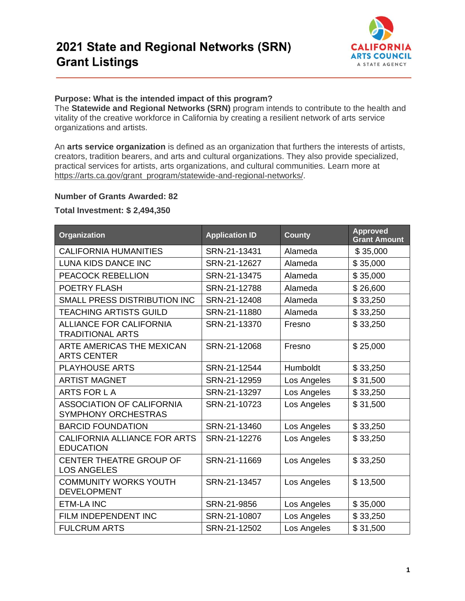

## **Purpose: What is the intended impact of this program?**

The **Statewide and Regional Networks (SRN)** program intends to contribute to the health and vitality of the creative workforce in California by creating a resilient network of arts service organizations and artists.

An **arts service organization** is defined as an organization that furthers the interests of artists, creators, tradition bearers, and arts and cultural organizations. They also provide specialized, practical services for artists, arts organizations, and cultural communities. Learn more at https://arts.ca.gov/grant\_program/statewide-and-regional-networks/.

## **Number of Grants Awarded: 82**

## **Total Investment: \$ 2,494,350**

| Organization                                                   | <b>Application ID</b> | <b>County</b> | <b>Approved</b><br><b>Grant Amount</b> |
|----------------------------------------------------------------|-----------------------|---------------|----------------------------------------|
| <b>CALIFORNIA HUMANITIES</b>                                   | SRN-21-13431          | Alameda       | \$35,000                               |
| LUNA KIDS DANCE INC                                            | SRN-21-12627          | Alameda       | \$35,000                               |
| PEACOCK REBELLION                                              | SRN-21-13475          | Alameda       | \$35,000                               |
| POETRY FLASH                                                   | SRN-21-12788          | Alameda       | \$26,600                               |
| SMALL PRESS DISTRIBUTION INC                                   | SRN-21-12408          | Alameda       | \$33,250                               |
| <b>TEACHING ARTISTS GUILD</b>                                  | SRN-21-11880          | Alameda       | \$33,250                               |
| <b>ALLIANCE FOR CALIFORNIA</b><br><b>TRADITIONAL ARTS</b>      | SRN-21-13370          | Fresno        | \$33,250                               |
| ARTE AMERICAS THE MEXICAN<br><b>ARTS CENTER</b>                | SRN-21-12068          | Fresno        | \$25,000                               |
| <b>PLAYHOUSE ARTS</b>                                          | SRN-21-12544          | Humboldt      | \$33,250                               |
| <b>ARTIST MAGNET</b>                                           | SRN-21-12959          | Los Angeles   | \$31,500                               |
| ARTS FOR LA                                                    | SRN-21-13297          | Los Angeles   | \$33,250                               |
| <b>ASSOCIATION OF CALIFORNIA</b><br><b>SYMPHONY ORCHESTRAS</b> | SRN-21-10723          | Los Angeles   | \$31,500                               |
| <b>BARCID FOUNDATION</b>                                       | SRN-21-13460          | Los Angeles   | \$33,250                               |
| CALIFORNIA ALLIANCE FOR ARTS<br><b>EDUCATION</b>               | SRN-21-12276          | Los Angeles   | \$33,250                               |
| CENTER THEATRE GROUP OF<br><b>LOS ANGELES</b>                  | SRN-21-11669          | Los Angeles   | \$33,250                               |
| <b>COMMUNITY WORKS YOUTH</b><br><b>DEVELOPMENT</b>             | SRN-21-13457          | Los Angeles   | \$13,500                               |
| <b>ETM-LA INC</b>                                              | SRN-21-9856           | Los Angeles   | \$35,000                               |
| FILM INDEPENDENT INC                                           | SRN-21-10807          | Los Angeles   | \$33,250                               |
| <b>FULCRUM ARTS</b>                                            | SRN-21-12502          | Los Angeles   | \$31,500                               |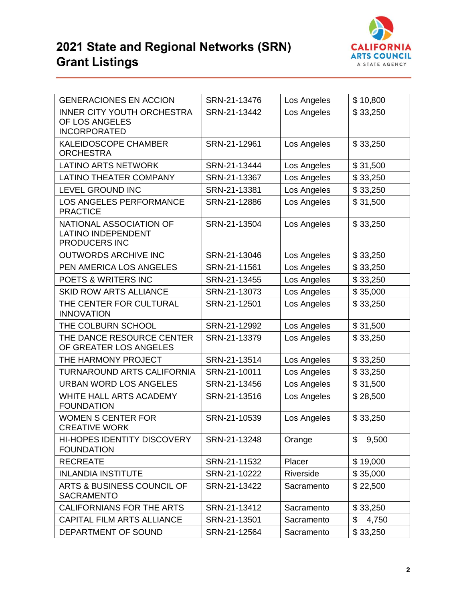



|                                                     | SRN-21-13476 |             |             |
|-----------------------------------------------------|--------------|-------------|-------------|
| <b>GENERACIONES EN ACCION</b>                       |              | Los Angeles | \$10,800    |
| <b>INNER CITY YOUTH ORCHESTRA</b><br>OF LOS ANGELES | SRN-21-13442 | Los Angeles | \$33,250    |
| <b>INCORPORATED</b>                                 |              |             |             |
| <b>KALEIDOSCOPE CHAMBER</b>                         | SRN-21-12961 | Los Angeles | \$33,250    |
| <b>ORCHESTRA</b>                                    |              |             |             |
| <b>LATINO ARTS NETWORK</b>                          | SRN-21-13444 | Los Angeles | \$31,500    |
| <b>LATINO THEATER COMPANY</b>                       | SRN-21-13367 | Los Angeles | \$33,250    |
| LEVEL GROUND INC                                    | SRN-21-13381 | Los Angeles | \$33,250    |
| <b>LOS ANGELES PERFORMANCE</b>                      | SRN-21-12886 | Los Angeles | \$31,500    |
| <b>PRACTICE</b>                                     |              |             |             |
| NATIONAL ASSOCIATION OF                             | SRN-21-13504 | Los Angeles | \$33,250    |
| <b>LATINO INDEPENDENT</b>                           |              |             |             |
| PRODUCERS INC                                       |              |             |             |
| <b>OUTWORDS ARCHIVE INC</b>                         | SRN-21-13046 | Los Angeles | \$33,250    |
| PEN AMERICA LOS ANGELES                             | SRN-21-11561 | Los Angeles | \$33,250    |
| <b>POETS &amp; WRITERS INC</b>                      | SRN-21-13455 | Los Angeles | \$33,250    |
| <b>SKID ROW ARTS ALLIANCE</b>                       | SRN-21-13073 | Los Angeles | \$35,000    |
| THE CENTER FOR CULTURAL                             | SRN-21-12501 | Los Angeles | \$33,250    |
| <b>INNOVATION</b>                                   |              |             |             |
| THE COLBURN SCHOOL                                  | SRN-21-12992 | Los Angeles | \$31,500    |
| THE DANCE RESOURCE CENTER                           | SRN-21-13379 | Los Angeles | \$33,250    |
| OF GREATER LOS ANGELES                              |              |             |             |
| THE HARMONY PROJECT                                 | SRN-21-13514 | Los Angeles | \$33,250    |
| <b>TURNAROUND ARTS CALIFORNIA</b>                   | SRN-21-10011 | Los Angeles | \$33,250    |
| <b>URBAN WORD LOS ANGELES</b>                       | SRN-21-13456 | Los Angeles | \$31,500    |
| WHITE HALL ARTS ACADEMY                             | SRN-21-13516 | Los Angeles | \$28,500    |
| <b>FOUNDATION</b>                                   |              |             |             |
| <b>WOMEN S CENTER FOR</b>                           | SRN-21-10539 | Los Angeles | \$33,250    |
| <b>CREATIVE WORK</b>                                |              |             |             |
| <b>HI-HOPES IDENTITY DISCOVERY</b>                  | SRN-21-13248 | Orange      | \$<br>9,500 |
| <b>FOUNDATION</b>                                   |              |             |             |
| <b>RECREATE</b>                                     | SRN-21-11532 | Placer      | \$19,000    |
| <b>INLANDIA INSTITUTE</b>                           | SRN-21-10222 | Riverside   | \$35,000    |
| ARTS & BUSINESS COUNCIL OF                          | SRN-21-13422 | Sacramento  | \$22,500    |
| <b>SACRAMENTO</b>                                   |              |             |             |
| CALIFORNIANS FOR THE ARTS                           | SRN-21-13412 | Sacramento  | \$33,250    |
| CAPITAL FILM ARTS ALLIANCE                          | SRN-21-13501 | Sacramento  | \$<br>4,750 |
| DEPARTMENT OF SOUND                                 | SRN-21-12564 | Sacramento  | \$33,250    |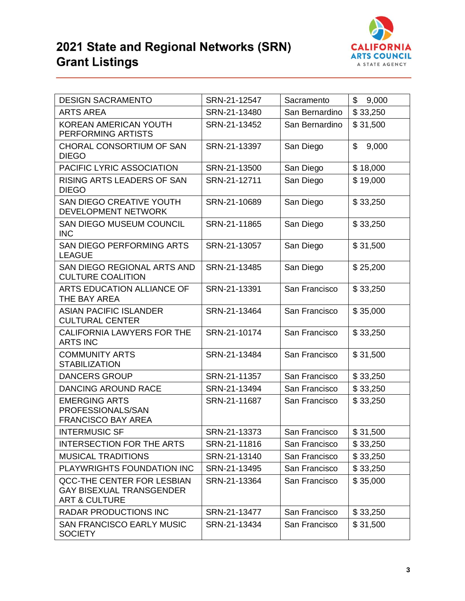

| <b>DESIGN SACRAMENTO</b>                                                                         | SRN-21-12547 | Sacramento     | \$<br>9,000 |
|--------------------------------------------------------------------------------------------------|--------------|----------------|-------------|
| <b>ARTS AREA</b>                                                                                 | SRN-21-13480 | San Bernardino | \$33,250    |
| <b>KOREAN AMERICAN YOUTH</b><br>PERFORMING ARTISTS                                               | SRN-21-13452 | San Bernardino | \$31,500    |
| CHORAL CONSORTIUM OF SAN<br><b>DIEGO</b>                                                         | SRN-21-13397 | San Diego      | \$<br>9,000 |
| PACIFIC LYRIC ASSOCIATION                                                                        | SRN-21-13500 | San Diego      | \$18,000    |
| <b>RISING ARTS LEADERS OF SAN</b><br><b>DIEGO</b>                                                | SRN-21-12711 | San Diego      | \$19,000    |
| <b>SAN DIEGO CREATIVE YOUTH</b><br>DEVELOPMENT NETWORK                                           | SRN-21-10689 | San Diego      | \$33,250    |
| <b>SAN DIEGO MUSEUM COUNCIL</b><br><b>INC</b>                                                    | SRN-21-11865 | San Diego      | \$33,250    |
| <b>SAN DIEGO PERFORMING ARTS</b><br><b>LEAGUE</b>                                                | SRN-21-13057 | San Diego      | \$31,500    |
| SAN DIEGO REGIONAL ARTS AND<br><b>CULTURE COALITION</b>                                          | SRN-21-13485 | San Diego      | \$25,200    |
| ARTS EDUCATION ALLIANCE OF<br>THE BAY AREA                                                       | SRN-21-13391 | San Francisco  | \$33,250    |
| <b>ASIAN PACIFIC ISLANDER</b><br><b>CULTURAL CENTER</b>                                          | SRN-21-13464 | San Francisco  | \$35,000    |
| <b>CALIFORNIA LAWYERS FOR THE</b><br><b>ARTS INC</b>                                             | SRN-21-10174 | San Francisco  | \$33,250    |
| <b>COMMUNITY ARTS</b><br><b>STABILIZATION</b>                                                    | SRN-21-13484 | San Francisco  | \$31,500    |
| <b>DANCERS GROUP</b>                                                                             | SRN-21-11357 | San Francisco  | \$33,250    |
| <b>DANCING AROUND RACE</b>                                                                       | SRN-21-13494 | San Francisco  | \$33,250    |
| <b>EMERGING ARTS</b><br>PROFESSIONALS/SAN<br><b>FRANCISCO BAY AREA</b>                           | SRN-21-11687 | San Francisco  | \$33,250    |
| <b>INTERMUSIC SF</b>                                                                             | SRN-21-13373 | San Francisco  | \$31,500    |
| <b>INTERSECTION FOR THE ARTS</b>                                                                 | SRN-21-11816 | San Francisco  | \$33,250    |
| <b>MUSICAL TRADITIONS</b>                                                                        | SRN-21-13140 | San Francisco  | \$33,250    |
| PLAYWRIGHTS FOUNDATION INC                                                                       | SRN-21-13495 | San Francisco  | \$33,250    |
| <b>QCC-THE CENTER FOR LESBIAN</b><br><b>GAY BISEXUAL TRANSGENDER</b><br><b>ART &amp; CULTURE</b> | SRN-21-13364 | San Francisco  | \$35,000    |
| <b>RADAR PRODUCTIONS INC</b>                                                                     | SRN-21-13477 | San Francisco  | \$33,250    |
| <b>SAN FRANCISCO EARLY MUSIC</b><br><b>SOCIETY</b>                                               | SRN-21-13434 | San Francisco  | \$31,500    |